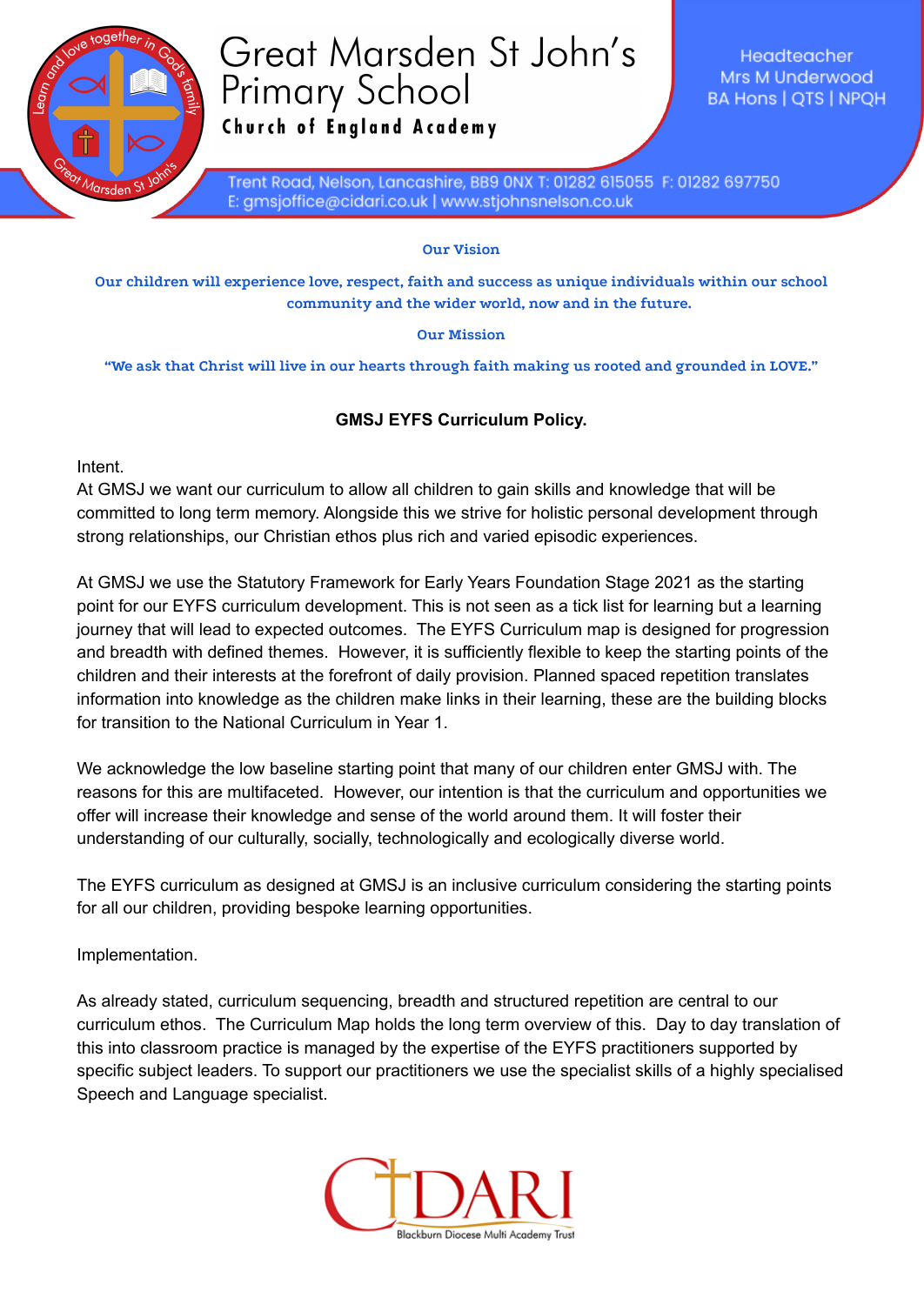

## Great Marsden St John's **Primary School**

Church of England Academy

Headteacher Mrs M Underwood **BA Hons | QTS | NPQH** 

Trent Road, Nelson, Lancashire, BB9 0NX T: 01282 615055 F: 01282 697750 E: gmsjoffice@cidari.co.uk | www.stjohnsnelson.co.uk

**Our Vision**

**Our children will experience love, respect, faith and success as unique individuals within our school community and the wider world, now and in the future.**

## **Our Mission**

**"We ask that Christ will live in our hearts through faith making us rooted and grounded in LOVE."**

## **GMSJ EYFS Curriculum Policy.**

Intent.

At GMSJ we want our curriculum to allow all children to gain skills and knowledge that will be committed to long term memory. Alongside this we strive for holistic personal development through strong relationships, our Christian ethos plus rich and varied episodic experiences.

At GMSJ we use the Statutory Framework for Early Years Foundation Stage 2021 as the starting point for our EYFS curriculum development. This is not seen as a tick list for learning but a learning journey that will lead to expected outcomes. The EYFS Curriculum map is designed for progression and breadth with defined themes. However, it is sufficiently flexible to keep the starting points of the children and their interests at the forefront of daily provision. Planned spaced repetition translates information into knowledge as the children make links in their learning, these are the building blocks for transition to the National Curriculum in Year 1.

We acknowledge the low baseline starting point that many of our children enter GMSJ with. The reasons for this are multifaceted. However, our intention is that the curriculum and opportunities we offer will increase their knowledge and sense of the world around them. It will foster their understanding of our culturally, socially, technologically and ecologically diverse world.

The EYFS curriculum as designed at GMSJ is an inclusive curriculum considering the starting points for all our children, providing bespoke learning opportunities.

Implementation.

As already stated, curriculum sequencing, breadth and structured repetition are central to our curriculum ethos. The Curriculum Map holds the long term overview of this. Day to day translation of this into classroom practice is managed by the expertise of the EYFS practitioners supported by specific subject leaders. To support our practitioners we use the specialist skills of a highly specialised Speech and Language specialist.

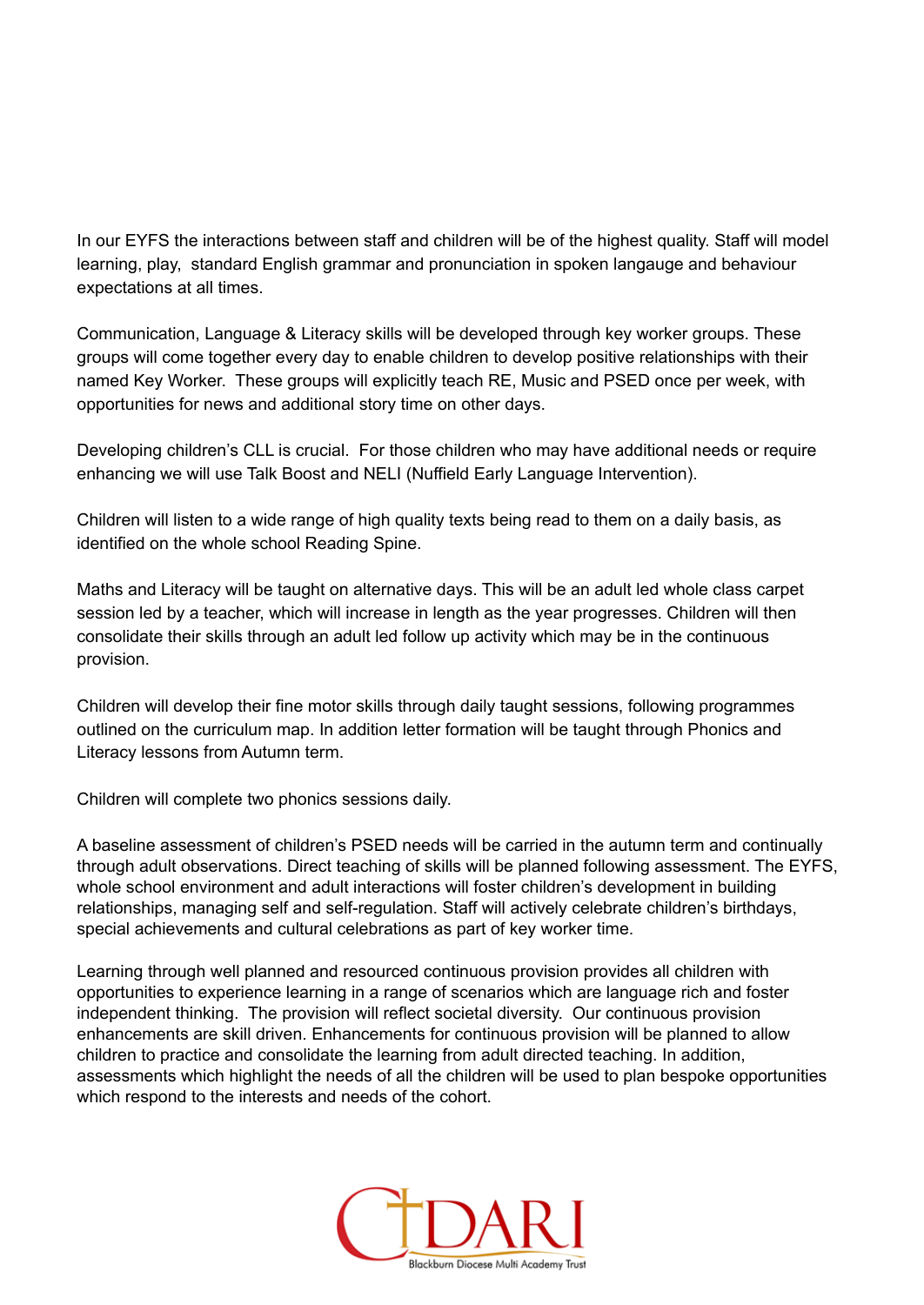In our EYFS the interactions between staff and children will be of the highest quality. Staff will model learning, play, standard English grammar and pronunciation in spoken langauge and behaviour expectations at all times.

Communication, Language & Literacy skills will be developed through key worker groups. These groups will come together every day to enable children to develop positive relationships with their named Key Worker. These groups will explicitly teach RE, Music and PSED once per week, with opportunities for news and additional story time on other days.

Developing children's CLL is crucial. For those children who may have additional needs or require enhancing we will use Talk Boost and NELI (Nuffield Early Language Intervention).

Children will listen to a wide range of high quality texts being read to them on a daily basis, as identified on the whole school Reading Spine.

Maths and Literacy will be taught on alternative days. This will be an adult led whole class carpet session led by a teacher, which will increase in length as the year progresses. Children will then consolidate their skills through an adult led follow up activity which may be in the continuous provision.

Children will develop their fine motor skills through daily taught sessions, following programmes outlined on the curriculum map. In addition letter formation will be taught through Phonics and Literacy lessons from Autumn term.

Children will complete two phonics sessions daily.

A baseline assessment of children's PSED needs will be carried in the autumn term and continually through adult observations. Direct teaching of skills will be planned following assessment. The EYFS, whole school environment and adult interactions will foster children's development in building relationships, managing self and self-regulation. Staff will actively celebrate children's birthdays, special achievements and cultural celebrations as part of key worker time.

Learning through well planned and resourced continuous provision provides all children with opportunities to experience learning in a range of scenarios which are language rich and foster independent thinking. The provision will reflect societal diversity. Our continuous provision enhancements are skill driven. Enhancements for continuous provision will be planned to allow children to practice and consolidate the learning from adult directed teaching. In addition, assessments which highlight the needs of all the children will be used to plan bespoke opportunities which respond to the interests and needs of the cohort.